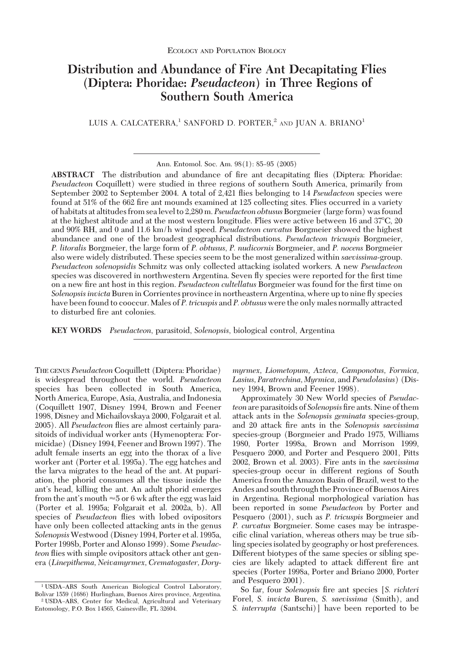# **Distribution and Abundance of Fire Ant Decapitating Flies (Diptera: Phoridae:** *Pseudacteon***) in Three Regions of Southern South America**

LUIS A. CALCATERRA,<sup>1</sup> SANFORD D. PORTER,<sup>2</sup> AND JUAN A. BRIANO<sup>1</sup>

Ann. Entomol. Soc. Am. 98(1): 85-95 (2005)

**ABSTRACT** The distribution and abundance of fire ant decapitating flies (Diptera: Phoridae: *Pseudacteon* Coquillett) were studied in three regions of southern South America, primarily from September 2002 to September 2004. A total of 2,421 ßies belonging to 14 *Pseudacteon* species were found at 51% of the 662 fire ant mounds examined at 125 collecting sites. Flies occurred in a variety of habitats at altitudes from sea level to 2,280 m. *Pseudacteon obtusus*Borgmeier (large form) was found at the highest altitude and at the most western longitude. Flies were active between 16 and 37C, 20 and 90% RH, and 0 and 11.6 km/h wind speed. *Pseudacteon curvatus* Borgmeier showed the highest abundance and one of the broadest geographical distributions. *Pseudacteon tricuspis* Borgmeier, *P. litoralis* Borgmeier, the large form of *P. obtusus*, *P. nudicornis* Borgmeier, and *P. nocens* Borgmeier also were widely distributed. These species seem to be the most generalized within *saevissima*-group. *Pseudacteon solenopsidis* Schmitz was only collected attacking isolated workers. A new *Pseudacteon* species was discovered in northwestern Argentina. Seven fly species were reported for the first time on a new fire ant host in this region. *Pseudacteon cultellatus* Borgmeier was found for the first time on *Solenopsis invicta*Buren in Corrientes province in northeastern Argentina, where up to nine ßy species have been found to cooccur. Males of *P. tricuspis* and *P. obtusus* were the only males normally attracted to disturbed fire ant colonies.

**KEY WORDS** *Pseudacteon*, parasitoid, *Solenopsis*, biological control, Argentina

THE GENUS *Pseudacteon* Coquillett (Diptera: Phoridae) is widespread throughout the world. *Pseudacteon* species has been collected in South America, North America, Europe, Asia, Australia, and Indonesia (Coquillett 1907, Disney 1994, Brown and Feener 1998, Disney and Michailovskaya 2000, Folgarait et al. 2005). All *Pseudacteon* ßies are almost certainly parasitoids of individual worker ants (Hymenoptera: Formicidae) (Disney 1994, Feener and Brown 1997). The adult female inserts an egg into the thorax of a live worker ant (Porter et al. 1995a). The egg hatches and the larva migrates to the head of the ant. At pupariation, the phorid consumes all the tissue inside the ant's head, killing the ant. An adult phorid emerges from the ant's mouth  ${\approx}5$  or 6 wk after the egg was laid (Porter et al. 1995a; Folgarait et al. 2002a, b). All species of *Pseudacteon* ßies with lobed ovipositors have only been collected attacking ants in the genus *Solenopsis*Westwood (Disney 1994, Porter et al. 1995a, Porter 1998b, Porter and Alonso 1999). Some *Pseudacteon* ßies with simple ovipositors attack other ant genera (*Linepithema, Neivamyrmex, Crematogaster, Dory-* *myrmex, Liometopum, Azteca, Camponotus, Formica, Lasius, Paratrechina, Myrmica,* and *Pseudolasius*) (Disney 1994, Brown and Feener 1998).

Approximately 30 New World species of *Pseudac*teon are parasitoids of *Solenopsis* fire ants. Nine of them attack ants in the *Solenopsis geminata* species-group, and 20 attack Þre ants in the *Solenopsis saevissima* species-group (Borgmeier and Prado 1975, Williams 1980, Porter 1998a, Brown and Morrison 1999, Pesquero 2000, and Porter and Pesquero 2001, Pitts 2002, Brown et al. 2003). Fire ants in the *saevissima* species-group occur in different regions of South America from the Amazon Basin of Brazil, west to the Andes and south through the Province of Buenos Aires in Argentina. Regional morphological variation has been reported in some *Pseudacteon* by Porter and Pesquero (2001), such as *P. tricuspis* Borgmeier and *P. curvatus* Borgmeier. Some cases may be intraspecific clinal variation, whereas others may be true sibling species isolated by geography or host preferences. Different biotypes of the same species or sibling species are likely adapted to attack different fire ant species (Porter 1998a, Porter and Briano 2000, Porter and Pesquero 2001).

So far, four *Solenopsis* Þre ant species [*S. richteri* Forel, *S. invicta* Buren, *S. saevissima* (Smith), and *S. interrupta* (Santschi)] have been reported to be

<sup>&</sup>lt;sup>1</sup> USDA-ARS South American Biological Control Laboratory, Bolivar 1559 (1686) Hurlingham, Buenos Aires province, Argentina. <sup>2</sup> USDA-ARS, Center for Medical, Agricultural and Veterinary Entomology, P.O. Box 14565, Gainesville, FL 32604.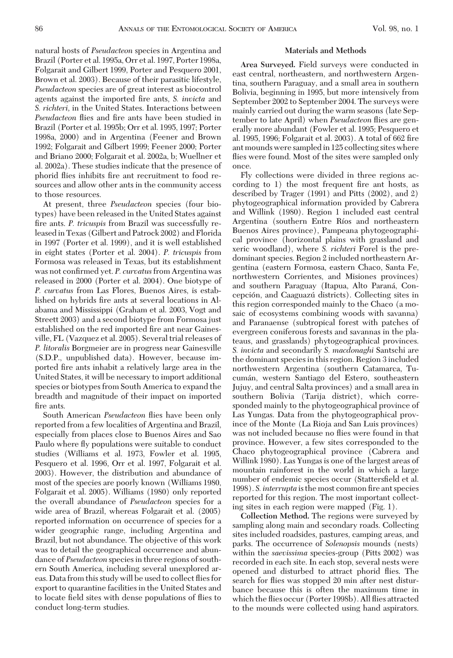natural hosts of *Pseudacteon* species in Argentina and Brazil (Porter et al. 1995a, Orr et al. 1997, Porter 1998a, Folgarait and Gilbert 1999, Porter and Pesquero 2001, Brown et al. 2003). Because of their parasitic lifestyle, *Pseudacteon* species are of great interest as biocontrol agents against the imported fire ants, *S. invicta* and *S. richteri,* in the United States. Interactions between *Pseudacteon* flies and fire ants have been studied in Brazil (Porter et al. 1995b; Orr et al. 1995, 1997; Porter 1998a, 2000) and in Argentina (Feener and Brown 1992; Folgarait and Gilbert 1999; Feener 2000; Porter and Briano 2000; Folgarait et al. 2002a, b; Wuellner et al. 2002a). These studies indicate that the presence of phorid flies inhibits fire ant recruitment to food resources and allow other ants in the community access to those resources.

At present, three *Pseudacteon* species (four biotypes) have been released in the United States against fire ants. P. tricuspis from Brazil was successfully released in Texas (Gilbert and Patrock 2002) and Florida in 1997 (Porter et al. 1999), and it is well established in eight states (Porter et al. 2004). *P. tricuspis* from Formosa was released in Texas, but its establishment was not confirmed yet. *P. curvatus* from Argentina was released in 2000 (Porter et al. 2004). One biotype of *P. curvatus* from Las Flores, Buenos Aires, is established on hybrids fire ants at several locations in Alabama and Mississippi (Graham et al. 2003, Vogt and Streett 2003) and a second biotype from Formosa just established on the red imported fire ant near Gainesville, FL (Vazquez et al. 2005). Several trial releases of *P. litoralis* Borgmeier are in progress near Gainesville (S.D.P., unpublished data). However, because imported fire ants inhabit a relatively large area in the United States, it will be necessary to import additional species or biotypes from South America to expand the breadth and magnitude of their impact on imported fire ants.

South American *Pseudacteon* ßies have been only reported from a few localities of Argentina and Brazil, especially from places close to Buenos Aires and Sao Paulo where ßy populations were suitable to conduct studies (Williams et al. 1973, Fowler et al. 1995, Pesquero et al. 1996, Orr et al. 1997, Folgarait et al. 2003). However, the distribution and abundance of most of the species are poorly known (Williams 1980, Folgarait et al. 2005). Williams (1980) only reported the overall abundance of *Pseudacteon* species for a wide area of Brazil, whereas Folgarait et al. (2005) reported information on occurrence of species for a wider geographic range, including Argentina and Brazil, but not abundance. The objective of this work was to detail the geographical occurrence and abundance of *Pseudacteon* species in three regions of southern South America, including several unexplored areas. Data from this study will be used to collect ßies for export to quarantine facilities in the United States and to locate field sites with dense populations of flies to conduct long-term studies.

#### **Materials and Methods**

**Area Surveyed.** Field surveys were conducted in east central, northeastern, and northwestern Argentina, southern Paraguay, and a small area in southern Bolivia, beginning in 1995, but more intensively from September 2002 to September 2004. The surveys were mainly carried out during the warm seasons (late September to late April) when *Pseudacteon* ßies are generally more abundant (Fowler et al. 1995; Pesquero et al. 1995, 1996; Folgarait et al. 2003). A total of 662 fire ant mounds were sampledin 125 collecting sites where flies were found. Most of the sites were sampled only once.

Fly collections were divided in three regions according to  $1$ ) the most frequent fire ant hosts, as described by Trager (1991) and Pitts (2002), and 2) phytogeographical information provided by Cabrera and Willink (1980). Region 1 included east central Argentina (southern Entre Ríos and northeastern Buenos Aires province), Pampeana phytogeographical province (horizontal plains with grassland and xeric woodland), where *S. richteri* Forel is the predominant species. Region 2 included northeastern Argentina (eastern Formosa, eastern Chaco, Santa Fe, northwestern Corrientes, and Misiones provinces) and southern Paraguay (Itapua, Alto Paraná, Concepción, and Caaguazú districts). Collecting sites in this region corresponded mainly to the Chaco (a mosaic of ecosystems combining woods with savanna) and Paranaense (subtropical forest with patches of evergreen coniferous forests and savannas in the plateaus, and grasslands) phytogeographical provinces. *S. invicta* and secondarily *S. macdonaghi* Santschi are the dominant species in this region. Region 3 included northwestern Argentina (southern Catamarca, Tucuma´n, western Santiago del Estero, southeastern Jujuy, and central Salta provinces) and a small area in southern Bolivia (Tarija district), which corresponded mainly to the phytogeographical province of Las Yungas. Data from the phytogeographical province of the Monte (La Rioja and San Luis provinces) was not included because no flies were found in that province. However, a few sites corresponded to the Chaco phytogeographical province (Cabrera and Willink 1980). Las Yungas is one of the largest areas of mountain rainforest in the world in which a large number of endemic species occur (Stattersfield et al. 1998). *S. interrupta* is the most common fire ant species reported for this region. The most important collecting sites in each region were mapped (Fig. 1).

**Collection Method.** The regions were surveyed by sampling along main and secondary roads. Collecting sites included roadsides, pastures, camping areas, and parks. The occurrence of *Solenopsis* mounds (nests) within the *saevissima* species-group (Pitts 2002) was recorded in each site. In each stop, several nests were opened and disturbed to attract phorid ßies. The search for flies was stopped 20 min after nest disturbance because this is often the maximum time in which the ßies occur (Porter 1998b). All ßies attracted to the mounds were collected using hand aspirators.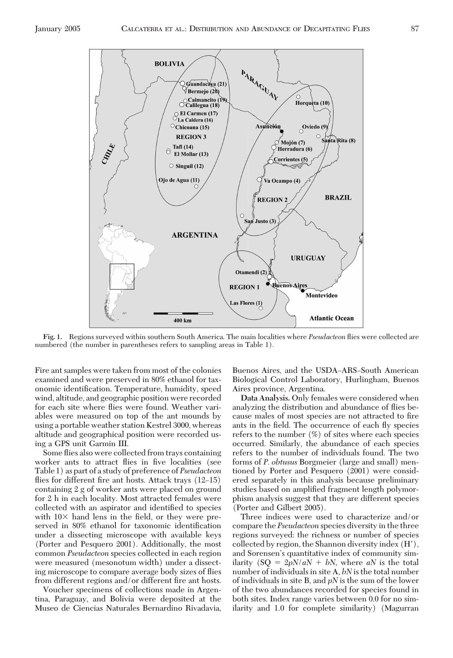

**Fig. 1.** Regions surveyed within southern South America. The main localities where *Pseudacteon* ßies were collected are numbered (the number in parentheses refers to sampling areas in Table 1).

Fire ant samples were taken from most of the colonies examined and were preserved in 80% ethanol for taxonomic identification. Temperature, humidity, speed wind, altitude, and geographic position were recorded for each site where ßies were found. Weather variables were measured on top of the ant mounds by using a portable weather station Kestrel 3000, whereas altitude and geographical position were recorded using a GPS unit Garmin III.

Some ßies also were collected from trays containing worker ants to attract flies in five localities (see Table 1) as part of a study of preference of *Pseudacteon* flies for different fire ant hosts. Attack trays  $(12-15)$ containing 2 g of worker ants were placed on ground for 2 h in each locality. Most attracted females were collected with an aspirator and identified to species with  $10\times$  hand lens in the field, or they were preserved in 80% ethanol for taxonomic identification under a dissecting microscope with available keys (Porter and Pesquero 2001). Additionally, the most common *Pseudacteon* species collected in each region were measured (mesonotum width) under a dissecting microscope to compare average body sizes of ßies from different regions and/or different fire ant hosts.

Voucher specimens of collections made in Argentina, Paraguay, and Bolivia were deposited at the Museo de Ciencias Naturales Bernardino Rivadavia, Buenos Aires, and the USDA–ARS–South American Biological Control Laboratory, Hurlingham, Buenos Aires province, Argentina.

**Data Analysis.** Only females were considered when analyzing the distribution and abundance of ßies because males of most species are not attracted to fire ants in the field. The occurrence of each fly species refers to the number (%) of sites where each species occurred. Similarly, the abundance of each species refers to the number of individuals found. The two forms of *P. obtusus* Borgmeier (large and small) mentioned by Porter and Pesquero (2001) were considered separately in this analysis because preliminary studies based on amplified fragment length polymorphism analysis suggest that they are different species (Porter and Gilbert 2005).

Three indices were used to characterize and/or compare the *Pseudacteon* species diversity in the three regions surveyed: the richness or number of species collected by region, the Shannon diversity index (H), and Sorensen's quantitative index of community similarity  $(SQ = 2pN/aN + bN$ , where *aN* is the total number of individuals in site A, *bN* is the total number of individuals in site B, and *pN* is the sum of the lower of the two abundances recorded for species found in both sites. Index range varies between 0.0 for no similarity and 1.0 for complete similarity) (Magurran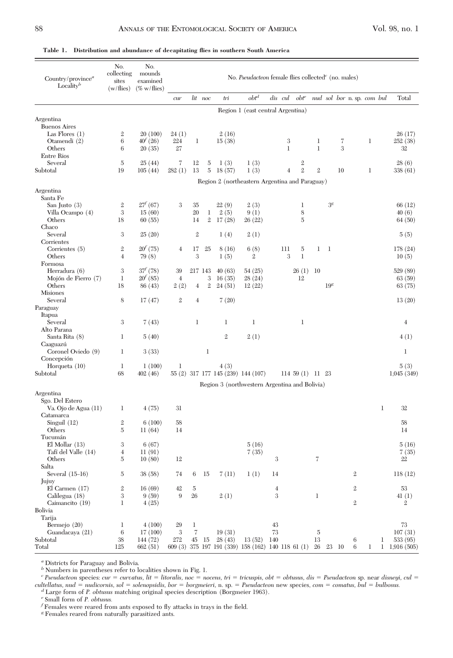| $obt^d$<br>lit noc<br>dis cul<br>$obt^e$<br>tri<br>nud sol bor n. sp. com bul<br>Total<br>cur<br>Region 1 (east central Argentina)<br><b>Buenos Aires</b><br>20 (100)<br>Las Flores $(1)$<br>$\mathbf{2}$<br>24(1)<br>2(16)<br>26(17)<br>$40^{f} (26)$<br>224<br>3<br>$\mathbf{1}$<br>Otamendi (2)<br>6<br>1<br>15(38)<br>1<br>7<br>252(38)<br>$\mathbf{1}$<br>Others<br>6<br>20(35)<br>27<br>$\mathbf{1}$<br>3<br>32<br><b>Entre Rios</b><br>Several<br>5<br>25(44)<br>7<br>5<br>1(3)<br>1(3)<br>$\boldsymbol{2}$<br>28(6)<br>12<br>$\,2$<br>19<br>13<br>$\bf 5$<br>18(57)<br>1(3)<br>$\sqrt{2}$<br>10<br>$\mathbf{1}$<br>338 (61)<br>105(44)<br>282(1)<br>$\overline{4}$<br>Region 2 (northeastern Argentina and Paraguay)<br>Argentina<br>Santa Fe<br>$27^{f}(67)$<br>3 <sup>g</sup><br>San Justo $(3)$<br>$\mathbf{2}$<br>3<br>35<br>22(9)<br>2(3)<br>1<br>66 (12)<br>3<br>$20\,$<br>2(5)<br>Villa Ocampo (4)<br>15(60)<br>$\mathbf{1}$<br>9(1)<br>8<br>40(6)<br>18<br>$\mathbf{2}$<br>17(28)<br>$\overline{5}$<br>Others<br>60(55)<br>14<br>26(22)<br>64(50)<br>Chaco<br>3<br>Several<br>25(20)<br>$\mathbf 2$<br>1(4)<br>2(1)<br>5(5)<br>Corrientes<br>$20^{f}$ (75)<br>Corrientes (5)<br>$\mathbf{2}$<br>17<br>25<br>6(8)<br>111<br>5<br>1<br>1<br>178 (24)<br>4<br>8(16)<br>3<br>3<br>$\mathbf{1}$<br>Others<br>$\overline{4}$<br>79 (8)<br>1(5)<br>$\mathbf{2}$<br>10(5)<br>Formosa<br>$37^{f}(78)$<br>3<br>Herradura (6)<br>39<br>217 143<br>40(63)<br>54(25)<br>26(1)<br>10<br>529 (89)<br>$20^{f}(85)$<br>3<br>Mojón de Fierro (7)<br>1<br>$\overline{4}$<br>16(35)<br>28(24)<br>12<br>63(59)<br>Others<br>18<br>$\mathbf{2}$<br>19 <sup>g</sup><br>86 (43)<br>2(2)<br>$\overline{4}$<br>24(51)<br>12(22)<br>63(75)<br><b>Misiones</b><br>Several<br>8<br>17(47)<br>$\mathbf{2}$<br>$\overline{4}$<br>7(20)<br>13(20)<br>Itapua<br>Several<br>3<br>7(43)<br>1<br>1<br>1<br>1<br>$\overline{4}$<br>Alto Parana<br>$\mathbf{2}$<br>Santa Rita (8)<br>1<br>2(1)<br>4(1)<br>5(40)<br>Caaguazú<br>Coronel Oviedo (9)<br>$\mathbf{1}$<br>$\mathbf{1}$<br>1<br>3(33)<br>Concepción<br>Horqueta $(10)$<br>1(100)<br>1<br>4(3)<br>5(3)<br>1<br>68<br>55 (2) 317 177 145 (239) 144 (107)<br>1,045(349)<br>402(46)<br>$114\ 59\ (1)$ $11\ 23$<br>Region 3 (northwestern Argentina and Bolivia)<br>Sgo. Del Estero<br>Va. Ojo de Agua (11)<br>4(75)<br>31<br>1<br>32<br>1<br>Catamarca<br>Singuil $(12)$<br>$\,2$<br>6(100)<br>58<br>58<br>Others<br>$\overline{5}$<br>14<br>11(64)<br>14<br>Tucumán<br>$El$ Mollar $(13)$<br>3<br>6(67)<br>5(16)<br>5(16)<br>Tafí del Valle (14)<br>$\overline{4}$<br>11(91)<br>7(35)<br>7(35)<br>7<br>Others<br>5<br>10(80)<br>12<br>3<br>22<br>Salta<br>1(1)<br>118 (12)<br>Several $(15-16)$<br>5<br>38 (58)<br>74<br>6<br>15<br>7 (11)<br>14<br>2<br>Jujuy<br>$El$ Carmen $(17)$<br>$\,2$<br>$\,2$<br>53<br>16(69)<br>42<br>5<br>4<br>$26\,$<br>3<br>$\boldsymbol{9}$<br>2(1)<br>3<br>Calilegua (18)<br>9(59)<br>$\mathbf{1}$<br>41(1)<br>$\,2$<br>Caimancito (19)<br>1<br>4(25)<br>2<br>Bolivia<br>Tarija<br>73<br>Bermejo (20)<br>$\mathbf{1}$<br>4(100)<br>1<br>43<br>29<br>Guandacaya (21)<br>$\,6$<br>3<br>7<br>73<br>$\overline{5}$<br>107(31)<br>17(100)<br>19(31)<br>13<br>38<br>28(43)<br>13 (52) 140<br>533 (95)<br>144 (72)<br>272<br>45<br>15<br>6<br>1<br>125<br>662(51)<br>609 (3) 375 197 191 (339) 158 (162) 140 118 61 (1) 26 23 10<br>6<br>$\mathbf{1}$<br>1, 916(505) | Country/ $\text{province}^a$<br>Locality <sup>b</sup> | No.<br>collecting<br>sites<br>$(w/\text{flies})$ | No.<br>mounds<br>examined<br>$(\% \text{ w/flies})$ | No. Pseudacteon female flies collected <sup>c</sup> (no. males) |  |  |  |  |  |  |  |  |  |  |  |
|-------------------------------------------------------------------------------------------------------------------------------------------------------------------------------------------------------------------------------------------------------------------------------------------------------------------------------------------------------------------------------------------------------------------------------------------------------------------------------------------------------------------------------------------------------------------------------------------------------------------------------------------------------------------------------------------------------------------------------------------------------------------------------------------------------------------------------------------------------------------------------------------------------------------------------------------------------------------------------------------------------------------------------------------------------------------------------------------------------------------------------------------------------------------------------------------------------------------------------------------------------------------------------------------------------------------------------------------------------------------------------------------------------------------------------------------------------------------------------------------------------------------------------------------------------------------------------------------------------------------------------------------------------------------------------------------------------------------------------------------------------------------------------------------------------------------------------------------------------------------------------------------------------------------------------------------------------------------------------------------------------------------------------------------------------------------------------------------------------------------------------------------------------------------------------------------------------------------------------------------------------------------------------------------------------------------------------------------------------------------------------------------------------------------------------------------------------------------------------------------------------------------------------------------------------------------------------------------------------------------------------------------------------------------------------------------------------------------------------------------------------------------------------------------------------------------------------------------------------------------------------------------------------------------------------------------------------------------------------------------------------------------------------------------------------------------------------------------------------------------------------------------------------------------------------------------------------------------------------------------------------------------------------------------------------------------------------------------------------------------------------------------------------------------------------|-------------------------------------------------------|--------------------------------------------------|-----------------------------------------------------|-----------------------------------------------------------------|--|--|--|--|--|--|--|--|--|--|--|
|                                                                                                                                                                                                                                                                                                                                                                                                                                                                                                                                                                                                                                                                                                                                                                                                                                                                                                                                                                                                                                                                                                                                                                                                                                                                                                                                                                                                                                                                                                                                                                                                                                                                                                                                                                                                                                                                                                                                                                                                                                                                                                                                                                                                                                                                                                                                                                                                                                                                                                                                                                                                                                                                                                                                                                                                                                                                                                                                                                                                                                                                                                                                                                                                                                                                                                                                                                                                                               |                                                       |                                                  |                                                     |                                                                 |  |  |  |  |  |  |  |  |  |  |  |
|                                                                                                                                                                                                                                                                                                                                                                                                                                                                                                                                                                                                                                                                                                                                                                                                                                                                                                                                                                                                                                                                                                                                                                                                                                                                                                                                                                                                                                                                                                                                                                                                                                                                                                                                                                                                                                                                                                                                                                                                                                                                                                                                                                                                                                                                                                                                                                                                                                                                                                                                                                                                                                                                                                                                                                                                                                                                                                                                                                                                                                                                                                                                                                                                                                                                                                                                                                                                                               |                                                       |                                                  |                                                     |                                                                 |  |  |  |  |  |  |  |  |  |  |  |
|                                                                                                                                                                                                                                                                                                                                                                                                                                                                                                                                                                                                                                                                                                                                                                                                                                                                                                                                                                                                                                                                                                                                                                                                                                                                                                                                                                                                                                                                                                                                                                                                                                                                                                                                                                                                                                                                                                                                                                                                                                                                                                                                                                                                                                                                                                                                                                                                                                                                                                                                                                                                                                                                                                                                                                                                                                                                                                                                                                                                                                                                                                                                                                                                                                                                                                                                                                                                                               | Argentina                                             |                                                  |                                                     |                                                                 |  |  |  |  |  |  |  |  |  |  |  |
|                                                                                                                                                                                                                                                                                                                                                                                                                                                                                                                                                                                                                                                                                                                                                                                                                                                                                                                                                                                                                                                                                                                                                                                                                                                                                                                                                                                                                                                                                                                                                                                                                                                                                                                                                                                                                                                                                                                                                                                                                                                                                                                                                                                                                                                                                                                                                                                                                                                                                                                                                                                                                                                                                                                                                                                                                                                                                                                                                                                                                                                                                                                                                                                                                                                                                                                                                                                                                               |                                                       |                                                  |                                                     |                                                                 |  |  |  |  |  |  |  |  |  |  |  |
|                                                                                                                                                                                                                                                                                                                                                                                                                                                                                                                                                                                                                                                                                                                                                                                                                                                                                                                                                                                                                                                                                                                                                                                                                                                                                                                                                                                                                                                                                                                                                                                                                                                                                                                                                                                                                                                                                                                                                                                                                                                                                                                                                                                                                                                                                                                                                                                                                                                                                                                                                                                                                                                                                                                                                                                                                                                                                                                                                                                                                                                                                                                                                                                                                                                                                                                                                                                                                               |                                                       |                                                  |                                                     |                                                                 |  |  |  |  |  |  |  |  |  |  |  |
|                                                                                                                                                                                                                                                                                                                                                                                                                                                                                                                                                                                                                                                                                                                                                                                                                                                                                                                                                                                                                                                                                                                                                                                                                                                                                                                                                                                                                                                                                                                                                                                                                                                                                                                                                                                                                                                                                                                                                                                                                                                                                                                                                                                                                                                                                                                                                                                                                                                                                                                                                                                                                                                                                                                                                                                                                                                                                                                                                                                                                                                                                                                                                                                                                                                                                                                                                                                                                               |                                                       |                                                  |                                                     |                                                                 |  |  |  |  |  |  |  |  |  |  |  |
|                                                                                                                                                                                                                                                                                                                                                                                                                                                                                                                                                                                                                                                                                                                                                                                                                                                                                                                                                                                                                                                                                                                                                                                                                                                                                                                                                                                                                                                                                                                                                                                                                                                                                                                                                                                                                                                                                                                                                                                                                                                                                                                                                                                                                                                                                                                                                                                                                                                                                                                                                                                                                                                                                                                                                                                                                                                                                                                                                                                                                                                                                                                                                                                                                                                                                                                                                                                                                               |                                                       |                                                  |                                                     |                                                                 |  |  |  |  |  |  |  |  |  |  |  |
|                                                                                                                                                                                                                                                                                                                                                                                                                                                                                                                                                                                                                                                                                                                                                                                                                                                                                                                                                                                                                                                                                                                                                                                                                                                                                                                                                                                                                                                                                                                                                                                                                                                                                                                                                                                                                                                                                                                                                                                                                                                                                                                                                                                                                                                                                                                                                                                                                                                                                                                                                                                                                                                                                                                                                                                                                                                                                                                                                                                                                                                                                                                                                                                                                                                                                                                                                                                                                               |                                                       |                                                  |                                                     |                                                                 |  |  |  |  |  |  |  |  |  |  |  |
|                                                                                                                                                                                                                                                                                                                                                                                                                                                                                                                                                                                                                                                                                                                                                                                                                                                                                                                                                                                                                                                                                                                                                                                                                                                                                                                                                                                                                                                                                                                                                                                                                                                                                                                                                                                                                                                                                                                                                                                                                                                                                                                                                                                                                                                                                                                                                                                                                                                                                                                                                                                                                                                                                                                                                                                                                                                                                                                                                                                                                                                                                                                                                                                                                                                                                                                                                                                                                               | Subtotal                                              |                                                  |                                                     |                                                                 |  |  |  |  |  |  |  |  |  |  |  |
|                                                                                                                                                                                                                                                                                                                                                                                                                                                                                                                                                                                                                                                                                                                                                                                                                                                                                                                                                                                                                                                                                                                                                                                                                                                                                                                                                                                                                                                                                                                                                                                                                                                                                                                                                                                                                                                                                                                                                                                                                                                                                                                                                                                                                                                                                                                                                                                                                                                                                                                                                                                                                                                                                                                                                                                                                                                                                                                                                                                                                                                                                                                                                                                                                                                                                                                                                                                                                               |                                                       |                                                  |                                                     |                                                                 |  |  |  |  |  |  |  |  |  |  |  |
|                                                                                                                                                                                                                                                                                                                                                                                                                                                                                                                                                                                                                                                                                                                                                                                                                                                                                                                                                                                                                                                                                                                                                                                                                                                                                                                                                                                                                                                                                                                                                                                                                                                                                                                                                                                                                                                                                                                                                                                                                                                                                                                                                                                                                                                                                                                                                                                                                                                                                                                                                                                                                                                                                                                                                                                                                                                                                                                                                                                                                                                                                                                                                                                                                                                                                                                                                                                                                               |                                                       |                                                  |                                                     |                                                                 |  |  |  |  |  |  |  |  |  |  |  |
|                                                                                                                                                                                                                                                                                                                                                                                                                                                                                                                                                                                                                                                                                                                                                                                                                                                                                                                                                                                                                                                                                                                                                                                                                                                                                                                                                                                                                                                                                                                                                                                                                                                                                                                                                                                                                                                                                                                                                                                                                                                                                                                                                                                                                                                                                                                                                                                                                                                                                                                                                                                                                                                                                                                                                                                                                                                                                                                                                                                                                                                                                                                                                                                                                                                                                                                                                                                                                               |                                                       |                                                  |                                                     |                                                                 |  |  |  |  |  |  |  |  |  |  |  |
|                                                                                                                                                                                                                                                                                                                                                                                                                                                                                                                                                                                                                                                                                                                                                                                                                                                                                                                                                                                                                                                                                                                                                                                                                                                                                                                                                                                                                                                                                                                                                                                                                                                                                                                                                                                                                                                                                                                                                                                                                                                                                                                                                                                                                                                                                                                                                                                                                                                                                                                                                                                                                                                                                                                                                                                                                                                                                                                                                                                                                                                                                                                                                                                                                                                                                                                                                                                                                               |                                                       |                                                  |                                                     |                                                                 |  |  |  |  |  |  |  |  |  |  |  |
|                                                                                                                                                                                                                                                                                                                                                                                                                                                                                                                                                                                                                                                                                                                                                                                                                                                                                                                                                                                                                                                                                                                                                                                                                                                                                                                                                                                                                                                                                                                                                                                                                                                                                                                                                                                                                                                                                                                                                                                                                                                                                                                                                                                                                                                                                                                                                                                                                                                                                                                                                                                                                                                                                                                                                                                                                                                                                                                                                                                                                                                                                                                                                                                                                                                                                                                                                                                                                               |                                                       |                                                  |                                                     |                                                                 |  |  |  |  |  |  |  |  |  |  |  |
|                                                                                                                                                                                                                                                                                                                                                                                                                                                                                                                                                                                                                                                                                                                                                                                                                                                                                                                                                                                                                                                                                                                                                                                                                                                                                                                                                                                                                                                                                                                                                                                                                                                                                                                                                                                                                                                                                                                                                                                                                                                                                                                                                                                                                                                                                                                                                                                                                                                                                                                                                                                                                                                                                                                                                                                                                                                                                                                                                                                                                                                                                                                                                                                                                                                                                                                                                                                                                               |                                                       |                                                  |                                                     |                                                                 |  |  |  |  |  |  |  |  |  |  |  |
|                                                                                                                                                                                                                                                                                                                                                                                                                                                                                                                                                                                                                                                                                                                                                                                                                                                                                                                                                                                                                                                                                                                                                                                                                                                                                                                                                                                                                                                                                                                                                                                                                                                                                                                                                                                                                                                                                                                                                                                                                                                                                                                                                                                                                                                                                                                                                                                                                                                                                                                                                                                                                                                                                                                                                                                                                                                                                                                                                                                                                                                                                                                                                                                                                                                                                                                                                                                                                               |                                                       |                                                  |                                                     |                                                                 |  |  |  |  |  |  |  |  |  |  |  |
|                                                                                                                                                                                                                                                                                                                                                                                                                                                                                                                                                                                                                                                                                                                                                                                                                                                                                                                                                                                                                                                                                                                                                                                                                                                                                                                                                                                                                                                                                                                                                                                                                                                                                                                                                                                                                                                                                                                                                                                                                                                                                                                                                                                                                                                                                                                                                                                                                                                                                                                                                                                                                                                                                                                                                                                                                                                                                                                                                                                                                                                                                                                                                                                                                                                                                                                                                                                                                               |                                                       |                                                  |                                                     |                                                                 |  |  |  |  |  |  |  |  |  |  |  |
|                                                                                                                                                                                                                                                                                                                                                                                                                                                                                                                                                                                                                                                                                                                                                                                                                                                                                                                                                                                                                                                                                                                                                                                                                                                                                                                                                                                                                                                                                                                                                                                                                                                                                                                                                                                                                                                                                                                                                                                                                                                                                                                                                                                                                                                                                                                                                                                                                                                                                                                                                                                                                                                                                                                                                                                                                                                                                                                                                                                                                                                                                                                                                                                                                                                                                                                                                                                                                               |                                                       |                                                  |                                                     |                                                                 |  |  |  |  |  |  |  |  |  |  |  |
|                                                                                                                                                                                                                                                                                                                                                                                                                                                                                                                                                                                                                                                                                                                                                                                                                                                                                                                                                                                                                                                                                                                                                                                                                                                                                                                                                                                                                                                                                                                                                                                                                                                                                                                                                                                                                                                                                                                                                                                                                                                                                                                                                                                                                                                                                                                                                                                                                                                                                                                                                                                                                                                                                                                                                                                                                                                                                                                                                                                                                                                                                                                                                                                                                                                                                                                                                                                                                               |                                                       |                                                  |                                                     |                                                                 |  |  |  |  |  |  |  |  |  |  |  |
|                                                                                                                                                                                                                                                                                                                                                                                                                                                                                                                                                                                                                                                                                                                                                                                                                                                                                                                                                                                                                                                                                                                                                                                                                                                                                                                                                                                                                                                                                                                                                                                                                                                                                                                                                                                                                                                                                                                                                                                                                                                                                                                                                                                                                                                                                                                                                                                                                                                                                                                                                                                                                                                                                                                                                                                                                                                                                                                                                                                                                                                                                                                                                                                                                                                                                                                                                                                                                               |                                                       |                                                  |                                                     |                                                                 |  |  |  |  |  |  |  |  |  |  |  |
|                                                                                                                                                                                                                                                                                                                                                                                                                                                                                                                                                                                                                                                                                                                                                                                                                                                                                                                                                                                                                                                                                                                                                                                                                                                                                                                                                                                                                                                                                                                                                                                                                                                                                                                                                                                                                                                                                                                                                                                                                                                                                                                                                                                                                                                                                                                                                                                                                                                                                                                                                                                                                                                                                                                                                                                                                                                                                                                                                                                                                                                                                                                                                                                                                                                                                                                                                                                                                               |                                                       |                                                  |                                                     |                                                                 |  |  |  |  |  |  |  |  |  |  |  |
|                                                                                                                                                                                                                                                                                                                                                                                                                                                                                                                                                                                                                                                                                                                                                                                                                                                                                                                                                                                                                                                                                                                                                                                                                                                                                                                                                                                                                                                                                                                                                                                                                                                                                                                                                                                                                                                                                                                                                                                                                                                                                                                                                                                                                                                                                                                                                                                                                                                                                                                                                                                                                                                                                                                                                                                                                                                                                                                                                                                                                                                                                                                                                                                                                                                                                                                                                                                                                               |                                                       |                                                  |                                                     |                                                                 |  |  |  |  |  |  |  |  |  |  |  |
|                                                                                                                                                                                                                                                                                                                                                                                                                                                                                                                                                                                                                                                                                                                                                                                                                                                                                                                                                                                                                                                                                                                                                                                                                                                                                                                                                                                                                                                                                                                                                                                                                                                                                                                                                                                                                                                                                                                                                                                                                                                                                                                                                                                                                                                                                                                                                                                                                                                                                                                                                                                                                                                                                                                                                                                                                                                                                                                                                                                                                                                                                                                                                                                                                                                                                                                                                                                                                               |                                                       |                                                  |                                                     |                                                                 |  |  |  |  |  |  |  |  |  |  |  |
|                                                                                                                                                                                                                                                                                                                                                                                                                                                                                                                                                                                                                                                                                                                                                                                                                                                                                                                                                                                                                                                                                                                                                                                                                                                                                                                                                                                                                                                                                                                                                                                                                                                                                                                                                                                                                                                                                                                                                                                                                                                                                                                                                                                                                                                                                                                                                                                                                                                                                                                                                                                                                                                                                                                                                                                                                                                                                                                                                                                                                                                                                                                                                                                                                                                                                                                                                                                                                               |                                                       |                                                  |                                                     |                                                                 |  |  |  |  |  |  |  |  |  |  |  |
|                                                                                                                                                                                                                                                                                                                                                                                                                                                                                                                                                                                                                                                                                                                                                                                                                                                                                                                                                                                                                                                                                                                                                                                                                                                                                                                                                                                                                                                                                                                                                                                                                                                                                                                                                                                                                                                                                                                                                                                                                                                                                                                                                                                                                                                                                                                                                                                                                                                                                                                                                                                                                                                                                                                                                                                                                                                                                                                                                                                                                                                                                                                                                                                                                                                                                                                                                                                                                               | Paraguay                                              |                                                  |                                                     |                                                                 |  |  |  |  |  |  |  |  |  |  |  |
|                                                                                                                                                                                                                                                                                                                                                                                                                                                                                                                                                                                                                                                                                                                                                                                                                                                                                                                                                                                                                                                                                                                                                                                                                                                                                                                                                                                                                                                                                                                                                                                                                                                                                                                                                                                                                                                                                                                                                                                                                                                                                                                                                                                                                                                                                                                                                                                                                                                                                                                                                                                                                                                                                                                                                                                                                                                                                                                                                                                                                                                                                                                                                                                                                                                                                                                                                                                                                               |                                                       |                                                  |                                                     |                                                                 |  |  |  |  |  |  |  |  |  |  |  |
|                                                                                                                                                                                                                                                                                                                                                                                                                                                                                                                                                                                                                                                                                                                                                                                                                                                                                                                                                                                                                                                                                                                                                                                                                                                                                                                                                                                                                                                                                                                                                                                                                                                                                                                                                                                                                                                                                                                                                                                                                                                                                                                                                                                                                                                                                                                                                                                                                                                                                                                                                                                                                                                                                                                                                                                                                                                                                                                                                                                                                                                                                                                                                                                                                                                                                                                                                                                                                               |                                                       |                                                  |                                                     |                                                                 |  |  |  |  |  |  |  |  |  |  |  |
|                                                                                                                                                                                                                                                                                                                                                                                                                                                                                                                                                                                                                                                                                                                                                                                                                                                                                                                                                                                                                                                                                                                                                                                                                                                                                                                                                                                                                                                                                                                                                                                                                                                                                                                                                                                                                                                                                                                                                                                                                                                                                                                                                                                                                                                                                                                                                                                                                                                                                                                                                                                                                                                                                                                                                                                                                                                                                                                                                                                                                                                                                                                                                                                                                                                                                                                                                                                                                               |                                                       |                                                  |                                                     |                                                                 |  |  |  |  |  |  |  |  |  |  |  |
|                                                                                                                                                                                                                                                                                                                                                                                                                                                                                                                                                                                                                                                                                                                                                                                                                                                                                                                                                                                                                                                                                                                                                                                                                                                                                                                                                                                                                                                                                                                                                                                                                                                                                                                                                                                                                                                                                                                                                                                                                                                                                                                                                                                                                                                                                                                                                                                                                                                                                                                                                                                                                                                                                                                                                                                                                                                                                                                                                                                                                                                                                                                                                                                                                                                                                                                                                                                                                               |                                                       |                                                  |                                                     |                                                                 |  |  |  |  |  |  |  |  |  |  |  |
|                                                                                                                                                                                                                                                                                                                                                                                                                                                                                                                                                                                                                                                                                                                                                                                                                                                                                                                                                                                                                                                                                                                                                                                                                                                                                                                                                                                                                                                                                                                                                                                                                                                                                                                                                                                                                                                                                                                                                                                                                                                                                                                                                                                                                                                                                                                                                                                                                                                                                                                                                                                                                                                                                                                                                                                                                                                                                                                                                                                                                                                                                                                                                                                                                                                                                                                                                                                                                               |                                                       |                                                  |                                                     |                                                                 |  |  |  |  |  |  |  |  |  |  |  |
|                                                                                                                                                                                                                                                                                                                                                                                                                                                                                                                                                                                                                                                                                                                                                                                                                                                                                                                                                                                                                                                                                                                                                                                                                                                                                                                                                                                                                                                                                                                                                                                                                                                                                                                                                                                                                                                                                                                                                                                                                                                                                                                                                                                                                                                                                                                                                                                                                                                                                                                                                                                                                                                                                                                                                                                                                                                                                                                                                                                                                                                                                                                                                                                                                                                                                                                                                                                                                               |                                                       |                                                  |                                                     |                                                                 |  |  |  |  |  |  |  |  |  |  |  |
|                                                                                                                                                                                                                                                                                                                                                                                                                                                                                                                                                                                                                                                                                                                                                                                                                                                                                                                                                                                                                                                                                                                                                                                                                                                                                                                                                                                                                                                                                                                                                                                                                                                                                                                                                                                                                                                                                                                                                                                                                                                                                                                                                                                                                                                                                                                                                                                                                                                                                                                                                                                                                                                                                                                                                                                                                                                                                                                                                                                                                                                                                                                                                                                                                                                                                                                                                                                                                               |                                                       |                                                  |                                                     |                                                                 |  |  |  |  |  |  |  |  |  |  |  |
|                                                                                                                                                                                                                                                                                                                                                                                                                                                                                                                                                                                                                                                                                                                                                                                                                                                                                                                                                                                                                                                                                                                                                                                                                                                                                                                                                                                                                                                                                                                                                                                                                                                                                                                                                                                                                                                                                                                                                                                                                                                                                                                                                                                                                                                                                                                                                                                                                                                                                                                                                                                                                                                                                                                                                                                                                                                                                                                                                                                                                                                                                                                                                                                                                                                                                                                                                                                                                               | Subtotal                                              |                                                  |                                                     |                                                                 |  |  |  |  |  |  |  |  |  |  |  |
|                                                                                                                                                                                                                                                                                                                                                                                                                                                                                                                                                                                                                                                                                                                                                                                                                                                                                                                                                                                                                                                                                                                                                                                                                                                                                                                                                                                                                                                                                                                                                                                                                                                                                                                                                                                                                                                                                                                                                                                                                                                                                                                                                                                                                                                                                                                                                                                                                                                                                                                                                                                                                                                                                                                                                                                                                                                                                                                                                                                                                                                                                                                                                                                                                                                                                                                                                                                                                               |                                                       |                                                  |                                                     |                                                                 |  |  |  |  |  |  |  |  |  |  |  |
|                                                                                                                                                                                                                                                                                                                                                                                                                                                                                                                                                                                                                                                                                                                                                                                                                                                                                                                                                                                                                                                                                                                                                                                                                                                                                                                                                                                                                                                                                                                                                                                                                                                                                                                                                                                                                                                                                                                                                                                                                                                                                                                                                                                                                                                                                                                                                                                                                                                                                                                                                                                                                                                                                                                                                                                                                                                                                                                                                                                                                                                                                                                                                                                                                                                                                                                                                                                                                               | Argentina                                             |                                                  |                                                     |                                                                 |  |  |  |  |  |  |  |  |  |  |  |
|                                                                                                                                                                                                                                                                                                                                                                                                                                                                                                                                                                                                                                                                                                                                                                                                                                                                                                                                                                                                                                                                                                                                                                                                                                                                                                                                                                                                                                                                                                                                                                                                                                                                                                                                                                                                                                                                                                                                                                                                                                                                                                                                                                                                                                                                                                                                                                                                                                                                                                                                                                                                                                                                                                                                                                                                                                                                                                                                                                                                                                                                                                                                                                                                                                                                                                                                                                                                                               |                                                       |                                                  |                                                     |                                                                 |  |  |  |  |  |  |  |  |  |  |  |
|                                                                                                                                                                                                                                                                                                                                                                                                                                                                                                                                                                                                                                                                                                                                                                                                                                                                                                                                                                                                                                                                                                                                                                                                                                                                                                                                                                                                                                                                                                                                                                                                                                                                                                                                                                                                                                                                                                                                                                                                                                                                                                                                                                                                                                                                                                                                                                                                                                                                                                                                                                                                                                                                                                                                                                                                                                                                                                                                                                                                                                                                                                                                                                                                                                                                                                                                                                                                                               |                                                       |                                                  |                                                     |                                                                 |  |  |  |  |  |  |  |  |  |  |  |
|                                                                                                                                                                                                                                                                                                                                                                                                                                                                                                                                                                                                                                                                                                                                                                                                                                                                                                                                                                                                                                                                                                                                                                                                                                                                                                                                                                                                                                                                                                                                                                                                                                                                                                                                                                                                                                                                                                                                                                                                                                                                                                                                                                                                                                                                                                                                                                                                                                                                                                                                                                                                                                                                                                                                                                                                                                                                                                                                                                                                                                                                                                                                                                                                                                                                                                                                                                                                                               |                                                       |                                                  |                                                     |                                                                 |  |  |  |  |  |  |  |  |  |  |  |
|                                                                                                                                                                                                                                                                                                                                                                                                                                                                                                                                                                                                                                                                                                                                                                                                                                                                                                                                                                                                                                                                                                                                                                                                                                                                                                                                                                                                                                                                                                                                                                                                                                                                                                                                                                                                                                                                                                                                                                                                                                                                                                                                                                                                                                                                                                                                                                                                                                                                                                                                                                                                                                                                                                                                                                                                                                                                                                                                                                                                                                                                                                                                                                                                                                                                                                                                                                                                                               |                                                       |                                                  |                                                     |                                                                 |  |  |  |  |  |  |  |  |  |  |  |
|                                                                                                                                                                                                                                                                                                                                                                                                                                                                                                                                                                                                                                                                                                                                                                                                                                                                                                                                                                                                                                                                                                                                                                                                                                                                                                                                                                                                                                                                                                                                                                                                                                                                                                                                                                                                                                                                                                                                                                                                                                                                                                                                                                                                                                                                                                                                                                                                                                                                                                                                                                                                                                                                                                                                                                                                                                                                                                                                                                                                                                                                                                                                                                                                                                                                                                                                                                                                                               |                                                       |                                                  |                                                     |                                                                 |  |  |  |  |  |  |  |  |  |  |  |
|                                                                                                                                                                                                                                                                                                                                                                                                                                                                                                                                                                                                                                                                                                                                                                                                                                                                                                                                                                                                                                                                                                                                                                                                                                                                                                                                                                                                                                                                                                                                                                                                                                                                                                                                                                                                                                                                                                                                                                                                                                                                                                                                                                                                                                                                                                                                                                                                                                                                                                                                                                                                                                                                                                                                                                                                                                                                                                                                                                                                                                                                                                                                                                                                                                                                                                                                                                                                                               |                                                       |                                                  |                                                     |                                                                 |  |  |  |  |  |  |  |  |  |  |  |
|                                                                                                                                                                                                                                                                                                                                                                                                                                                                                                                                                                                                                                                                                                                                                                                                                                                                                                                                                                                                                                                                                                                                                                                                                                                                                                                                                                                                                                                                                                                                                                                                                                                                                                                                                                                                                                                                                                                                                                                                                                                                                                                                                                                                                                                                                                                                                                                                                                                                                                                                                                                                                                                                                                                                                                                                                                                                                                                                                                                                                                                                                                                                                                                                                                                                                                                                                                                                                               |                                                       |                                                  |                                                     |                                                                 |  |  |  |  |  |  |  |  |  |  |  |
|                                                                                                                                                                                                                                                                                                                                                                                                                                                                                                                                                                                                                                                                                                                                                                                                                                                                                                                                                                                                                                                                                                                                                                                                                                                                                                                                                                                                                                                                                                                                                                                                                                                                                                                                                                                                                                                                                                                                                                                                                                                                                                                                                                                                                                                                                                                                                                                                                                                                                                                                                                                                                                                                                                                                                                                                                                                                                                                                                                                                                                                                                                                                                                                                                                                                                                                                                                                                                               |                                                       |                                                  |                                                     |                                                                 |  |  |  |  |  |  |  |  |  |  |  |
|                                                                                                                                                                                                                                                                                                                                                                                                                                                                                                                                                                                                                                                                                                                                                                                                                                                                                                                                                                                                                                                                                                                                                                                                                                                                                                                                                                                                                                                                                                                                                                                                                                                                                                                                                                                                                                                                                                                                                                                                                                                                                                                                                                                                                                                                                                                                                                                                                                                                                                                                                                                                                                                                                                                                                                                                                                                                                                                                                                                                                                                                                                                                                                                                                                                                                                                                                                                                                               |                                                       |                                                  |                                                     |                                                                 |  |  |  |  |  |  |  |  |  |  |  |
|                                                                                                                                                                                                                                                                                                                                                                                                                                                                                                                                                                                                                                                                                                                                                                                                                                                                                                                                                                                                                                                                                                                                                                                                                                                                                                                                                                                                                                                                                                                                                                                                                                                                                                                                                                                                                                                                                                                                                                                                                                                                                                                                                                                                                                                                                                                                                                                                                                                                                                                                                                                                                                                                                                                                                                                                                                                                                                                                                                                                                                                                                                                                                                                                                                                                                                                                                                                                                               |                                                       |                                                  |                                                     |                                                                 |  |  |  |  |  |  |  |  |  |  |  |
|                                                                                                                                                                                                                                                                                                                                                                                                                                                                                                                                                                                                                                                                                                                                                                                                                                                                                                                                                                                                                                                                                                                                                                                                                                                                                                                                                                                                                                                                                                                                                                                                                                                                                                                                                                                                                                                                                                                                                                                                                                                                                                                                                                                                                                                                                                                                                                                                                                                                                                                                                                                                                                                                                                                                                                                                                                                                                                                                                                                                                                                                                                                                                                                                                                                                                                                                                                                                                               |                                                       |                                                  |                                                     |                                                                 |  |  |  |  |  |  |  |  |  |  |  |
|                                                                                                                                                                                                                                                                                                                                                                                                                                                                                                                                                                                                                                                                                                                                                                                                                                                                                                                                                                                                                                                                                                                                                                                                                                                                                                                                                                                                                                                                                                                                                                                                                                                                                                                                                                                                                                                                                                                                                                                                                                                                                                                                                                                                                                                                                                                                                                                                                                                                                                                                                                                                                                                                                                                                                                                                                                                                                                                                                                                                                                                                                                                                                                                                                                                                                                                                                                                                                               |                                                       |                                                  |                                                     |                                                                 |  |  |  |  |  |  |  |  |  |  |  |
|                                                                                                                                                                                                                                                                                                                                                                                                                                                                                                                                                                                                                                                                                                                                                                                                                                                                                                                                                                                                                                                                                                                                                                                                                                                                                                                                                                                                                                                                                                                                                                                                                                                                                                                                                                                                                                                                                                                                                                                                                                                                                                                                                                                                                                                                                                                                                                                                                                                                                                                                                                                                                                                                                                                                                                                                                                                                                                                                                                                                                                                                                                                                                                                                                                                                                                                                                                                                                               |                                                       |                                                  |                                                     |                                                                 |  |  |  |  |  |  |  |  |  |  |  |
|                                                                                                                                                                                                                                                                                                                                                                                                                                                                                                                                                                                                                                                                                                                                                                                                                                                                                                                                                                                                                                                                                                                                                                                                                                                                                                                                                                                                                                                                                                                                                                                                                                                                                                                                                                                                                                                                                                                                                                                                                                                                                                                                                                                                                                                                                                                                                                                                                                                                                                                                                                                                                                                                                                                                                                                                                                                                                                                                                                                                                                                                                                                                                                                                                                                                                                                                                                                                                               |                                                       |                                                  |                                                     |                                                                 |  |  |  |  |  |  |  |  |  |  |  |
|                                                                                                                                                                                                                                                                                                                                                                                                                                                                                                                                                                                                                                                                                                                                                                                                                                                                                                                                                                                                                                                                                                                                                                                                                                                                                                                                                                                                                                                                                                                                                                                                                                                                                                                                                                                                                                                                                                                                                                                                                                                                                                                                                                                                                                                                                                                                                                                                                                                                                                                                                                                                                                                                                                                                                                                                                                                                                                                                                                                                                                                                                                                                                                                                                                                                                                                                                                                                                               |                                                       |                                                  |                                                     |                                                                 |  |  |  |  |  |  |  |  |  |  |  |
|                                                                                                                                                                                                                                                                                                                                                                                                                                                                                                                                                                                                                                                                                                                                                                                                                                                                                                                                                                                                                                                                                                                                                                                                                                                                                                                                                                                                                                                                                                                                                                                                                                                                                                                                                                                                                                                                                                                                                                                                                                                                                                                                                                                                                                                                                                                                                                                                                                                                                                                                                                                                                                                                                                                                                                                                                                                                                                                                                                                                                                                                                                                                                                                                                                                                                                                                                                                                                               |                                                       |                                                  |                                                     |                                                                 |  |  |  |  |  |  |  |  |  |  |  |
|                                                                                                                                                                                                                                                                                                                                                                                                                                                                                                                                                                                                                                                                                                                                                                                                                                                                                                                                                                                                                                                                                                                                                                                                                                                                                                                                                                                                                                                                                                                                                                                                                                                                                                                                                                                                                                                                                                                                                                                                                                                                                                                                                                                                                                                                                                                                                                                                                                                                                                                                                                                                                                                                                                                                                                                                                                                                                                                                                                                                                                                                                                                                                                                                                                                                                                                                                                                                                               | Subtotal                                              |                                                  |                                                     |                                                                 |  |  |  |  |  |  |  |  |  |  |  |
|                                                                                                                                                                                                                                                                                                                                                                                                                                                                                                                                                                                                                                                                                                                                                                                                                                                                                                                                                                                                                                                                                                                                                                                                                                                                                                                                                                                                                                                                                                                                                                                                                                                                                                                                                                                                                                                                                                                                                                                                                                                                                                                                                                                                                                                                                                                                                                                                                                                                                                                                                                                                                                                                                                                                                                                                                                                                                                                                                                                                                                                                                                                                                                                                                                                                                                                                                                                                                               | Total                                                 |                                                  |                                                     |                                                                 |  |  |  |  |  |  |  |  |  |  |  |

#### **Table 1. Distribution and abundance of decapitating flies in southern South America**

*<sup>a</sup>* Districts for Paraguay and Bolivia.

*b* Numbers in parentheses refer to localities shown in Fig. 1.

*<sup>c</sup> Pseudacteon* species: *cur curvatus, lit litoralis, noc nocens, tri tricuspis, obt obtusus, dis Pseudacteon* sp. near *disneyi, cul* cultellatus, nud = nudicornis, sol = solenopsidis, bor = borgmeieri, n. sp. = Pseudacteon new species, com = comatus, bul = bulbosus.<br>
"Large form of P. obtusus matching original species description (Borgmeier 1963).<br>
"Sm

*<sup>g</sup>* Females reared from naturally parasitized ants.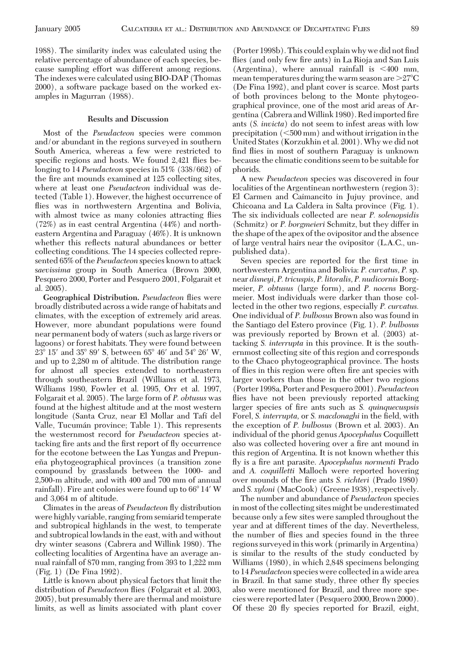1988). The similarity index was calculated using the relative percentage of abundance of each species, because sampling effort was different among regions. The indexes were calculated using BIO-DAP (Thomas 2000), a software package based on the worked examples in Magurran (1988).

## **Results and Discussion**

Most of the *Pseudacteon* species were common and/or abundant in the regions surveyed in southern South America, whereas a few were restricted to specific regions and hosts. We found 2,421 flies belonging to 14 *Pseudacteon* species in 51% (338/662) of the fire ant mounds examined at 125 collecting sites, where at least one *Pseudacteon* individual was detected (Table 1). However, the highest occurrence of flies was in northwestern Argentina and Bolivia, with almost twice as many colonies attracting flies (72%) as in east central Argentina (44%) and northeastern Argentina and Paraguay (46%). It is unknown whether this reßects natural abundances or better collecting conditions. The 14 species collected represented 65% of the *Pseudacteon* species known to attack s*aevissima* group in South America (Brown 2000, Pesquero 2000, Porter and Pesquero 2001, Folgarait et al. 2005).

**Geographical Distribution.** *Pseudacteon* ßies were broadly distributed across a wide range of habitats and climates, with the exception of extremely arid areas. However, more abundant populations were found near permanent body of waters (such as large rivers or lagoons) or forest habitats. They were found between  $23^{\circ}$  15' and 35° 89' S, between 65° 46' and 54° 26' W, and up to 2,280 m of altitude. The distribution range for almost all species extended to northeastern through southeastern Brazil (Williams et al. 1973, Williams 1980, Fowler et al. 1995, Orr et al. 1997, Folgarait et al. 2005). The large form of *P. obtusus* was found at the highest altitude and at the most western longitude (Santa Cruz, near El Mollar and Tafí del Valle, Tucumán province; Table 1). This represents the westernmost record for *Pseudacteon* species attacking fire ants and the first report of fly occurrence for the ecotone between the Las Yungas and Prepuneña phytogeographical provinces (a transition zone compound by grasslands between the 1000- and 2,500-m altitude, and with 400 and 700 mm of annual rainfall). Fire ant colonies were found up to 66°14' W and 3,064 m of altitude.

Climates in the areas of *Pseudacteon* ßy distribution were highly variable, ranging from semiarid temperate and subtropical highlands in the west, to temperate and subtropical lowlands in the east, with and without dry winter seasons (Cabrera and Willink 1980). The collecting localities of Argentina have an average annual rainfall of 870 mm, ranging from 393 to 1,222 mm (Fig. 1) (De Fina 1992).

Little is known about physical factors that limit the distribution of *Pseudacteon* ßies (Folgarait et al. 2003, 2005), but presumably there are thermal and moisture limits, as well as limits associated with plant cover

(Porter 1998b). This could explain why we did not find flies (and only few fire ants) in La Rioja and San Luis (Argentina), where annual rainfall is  $\leq 400$  mm, mean temperatures during the warm season are  $>27^{\circ}C$ (De Fina 1992), and plant cover is scarce. Most parts of both provinces belong to the Monte phytogeographical province, one of the most arid areas of Argentina (Cabrera and Willink 1980). Red imported fire ants (*S. invicta*) do not seem to infest areas with low precipitation (500 mm) and without irrigation in the United States (Korzukhin et al. 2001).Why we did not find flies in most of southern Paraguay is unknown because the climatic conditions seem to be suitable for phorids.

A new *Pseudacteon* species was discovered in four localities of the Argentinean northwestern (region 3): El Carmen and Caimancito in Jujuy province, and Chicoana and La Caldera in Salta province (Fig. 1). The six individuals collected are near *P. solenopsidis* (Schmitz) or *P. borgmeieri* Schmitz, but they differ in the shape of the apex of the ovipositor and the absence of large ventral hairs near the ovipositor (L.A.C., unpublished data).

Seven species are reported for the first time in northwestern Argentina and Bolivia: *P. curvatus, P.* sp. near *disneyi*, *P. tricuspis, P. litoralis, P. nudicornis* Borgmeier, *P. obtusus* (large form), and *P. nocens* Borgmeier. Most individuals were darker than those collected in the other two regions, especially *P. curvatus.* One individual of *P. bulbosus* Brown also was found in the Santiago del Estero province (Fig. 1). *P. bulbosus* was previously reported by Brown et al. (2003) attacking *S. interrupta* in this province. It is the southernmost collecting site of this region and corresponds to the Chaco phytogeographical province. The hosts of flies in this region were often fire ant species with larger workers than those in the other two regions (Porter 1998a, Porter and Pesquero 2001). *Pseudacteon* flies have not been previously reported attacking larger species of fire ants such as *S. quinquecuspsis* Forel, *S. interrupta*, or *S. macdonaghi* in the field, with the exception of *P. bulbosus* (Brown et al. 2003). An individual of the phorid genus *Apocephalus* Coquillett also was collected hovering over a fire ant mound in this region of Argentina. It is not known whether this fly is a fire ant parasite. *Apocephalus normenti* Prado and *A. coquilletti* Malloch were reported hovering over mounds of the fire ants *S. richteri* (Prado 1980) and *S. xyloni* (MacCook) (Greene 1938), respectively.

The number and abundance of *Pseudacteon* species in most of the collecting sites might be underestimated because only a few sites were sampled throughout the year and at different times of the day. Nevertheless, the number of ßies and species found in the three regions surveyed in this work (primarily in Argentina) is similar to the results of the study conducted by Williams (1980), in which 2,848 specimens belonging to 14 *Pseudacteon* species were collected in a wide area in Brazil. In that same study, three other ßy species also were mentioned for Brazil, and three more species were reported later (Pesquero 2000, Brown 2000). Of these 20 ßy species reported for Brazil, eight,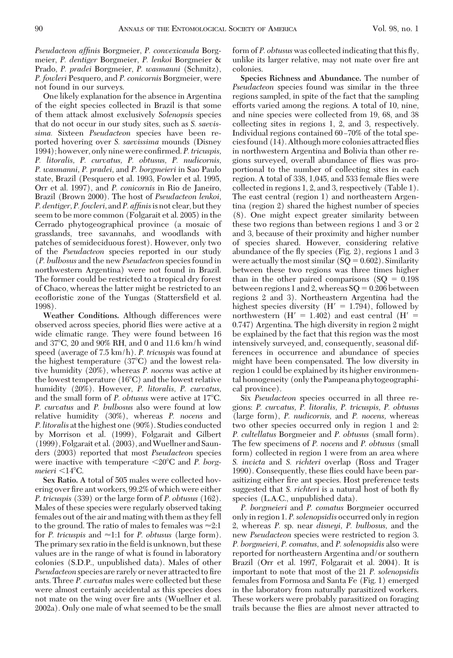*Pseudacteon affinis* Borgmeier, *P. convexicauda* Borgmeier, *P. dentiger* Borgmeier, *P. lenkoi* Borgmeier & Prado, *P. pradei* Borgmeier, *P. wasmanni* (Schmitz), *P. fowleri* Pesquero, and *P. conicornis* Borgmeier, were not found in our surveys.

One likely explanation for the absence in Argentina of the eight species collected in Brazil is that some of them attack almost exclusively *Solenopsis* species that do not occur in our study sites, such as *S. saevissima.* Sixteen *Pseudacteon* species have been reported hovering over *S. saevissima* mounds (Disney 1994); however, only nine were confirmed. *P. tricuspis*, *P. litoralis, P. curvatus, P. obtusus, P. nudicornis, P. wasmanni, P. pradei,* and *P. borgmeieri* in Sao Paulo state, Brazil (Pesquero et al. 1993, Fowler et al. 1995, Orr et al. 1997), and *P. conicornis* in Rio de Janeiro, Brazil (Brown 2000). The host of *Pseudacteon lenkoi, P. dentiger, P. fowleri,* and*P. affinis*is not clear, but they seem to be more common (Folgarait et al. 2005) in the Cerrado phytogeographical province (a mosaic of grasslands, tree savannahs, and woodlands with patches of semideciduous forest). However, only two of the *Pseudacteon* species reported in our study (*P. bulbosus* and the new *Pseudacteon* species found in northwestern Argentina) were not found in Brazil. The former could be restricted to a tropical dry forest of Chaco, whereas the latter might be restricted to an ecofloristic zone of the Yungas (Stattersfield et al. 1998).

**Weather Conditions.** Although differences were observed across species, phorid ßies were active at a wide climatic range. They were found between 16 and 37C, 20 and 90% RH, and 0 and 11.6 km/h wind speed (average of 7.5 km/h). *P. tricuspis* was found at the highest temperature (37<sup>o</sup>C) and the lowest relative humidity (20%), whereas *P. nocens* was active at the lowest temperature  $(16^{\circ}C)$  and the lowest relative humidity (20%). However, *P. litoralis, P. curvatus,* and the small form of *P. obtusus* were active at 17<sup>o</sup>C. *P. curvatus* and *P. bulbosus* also were found at low relative humidity (30%), whereas *P. nocens* and *P. litoralis* at the highest one (90%). Studies conducted by Morrison et al. (1999), Folgarait and Gilbert (1999), Folgarait et al. (2003), andWuellner and Saunders (2003) reported that most *Pseudacteon* species were inactive with temperature  $\langle 20^{\circ}$ C and *P. borgmeieri*  $\leq$ 14°C.

**Sex Ratio.** A total of 505 males were collected hovering over fire ant workers, 99.2% of which were either *P. tricuspis* (339) or the large form of *P. obtusus* (162). Males of these species were regularly observed taking females out of the air and mating with them as they fell to the ground. The ratio of males to females was  $\approx\!\!2.1$ for *P. tricuspis* and  $\approx$  1:1 for *P. obtusus* (large form). The primary sex ratio in the field is unknown, but these values are in the range of what is found in laboratory colonies (S.D.P., unpublished data). Males of other *Pseudacteon* species are rarely or never attracted to fire ants. Three *P. curvatus* males were collected but these were almost certainly accidental as this species does not mate on the wing over fire ants (Wuellner et al. 2002a). Only one male of what seemed to be the small

form of *P. obtusus* was collected indicating that this ßy, unlike its larger relative, may not mate over fire ant colonies.

**Species Richness and Abundance.** The number of *Pseudacteon* species found was similar in the three regions sampled, in spite of the fact that the sampling efforts varied among the regions. A total of 10, nine, and nine species were collected from 19, 68, and 38 collecting sites in regions 1, 2, and 3, respectively. Individual regions contained 60–70% of the total species found (14). Although more colonies attracted ßies in northwestern Argentina and Bolivia than other regions surveyed, overall abundance of ßies was proportional to the number of collecting sites in each region. A total of 338, 1,045, and 533 female ßies were collected in regions 1, 2, and 3, respectively (Table 1). The east central (region 1) and northeastern Argentina (region 2) shared the highest number of species (8). One might expect greater similarity between these two regions than between regions 1 and 3 or 2 and 3, because of their proximity and higher number of species shared. However, considering relative abundance of the ßy species (Fig. 2), regions 1 and 3 were actually the most similar  $(SQ = 0.602)$ . Similarity between these two regions was three times higher than in the other paired comparisons  $(SQ = 0.198)$ between regions 1 and 2, whereas  $SQ = 0.206$  between regions 2 and 3). Northeastern Argentina had the highest species diversity  $(H' = 1.794)$ , followed by northwestern  $(H' = 1.402)$  and east central  $(H' =$ 0.747) Argentina. The high diversity in region 2 might be explained by the fact that this region was the most intensively surveyed, and, consequently, seasonal differences in occurrence and abundance of species might have been compensated. The low diversity in region 1 could be explained by its higher environmental homogeneity (only the Pampeana phytogeographical province).

Six *Pseudacteon* species occurred in all three regions: *P. curvatus, P. litoralis, P. tricuspis, P. obtusus* (large form), *P. nudicornis,* and *P. nocens,* whereas two other species occurred only in region 1 and 2: *P. cultellatus* Borgmeier and *P. obtusus* (small form). The few specimens of *P. nocens* and *P. obtusus* (small form) collected in region 1 were from an area where *S. invicta* and *S. richteri* overlap (Ross and Trager 1990). Consequently, these ßies could have been parasitizing either fire ant species. Host preference tests suggested that *S. richteri* is a natural host of both ßy species (L.A.C., unpublished data).

*P. borgmeieri* and *P. comatus* Borgmeier occurred only in region 1. *P. solenopsidis* occurred only in region 2, whereas *P.* sp. near *disneyi, P. bulbosus,* and the new *Pseudacteon* species were restricted to region 3. *P. borgmeieri, P. comatus,* and *P. solenopsidis* also were reported for northeastern Argentina and/or southern Brazil (Orr et al. 1997, Folgarait et al. 2004). It is important to note that most of the 21 *P. solenopsidis* females from Formosa and Santa Fe (Fig. 1) emerged in the laboratory from naturally parasitized workers. These workers were probably parasitized on foraging trails because the ßies are almost never attracted to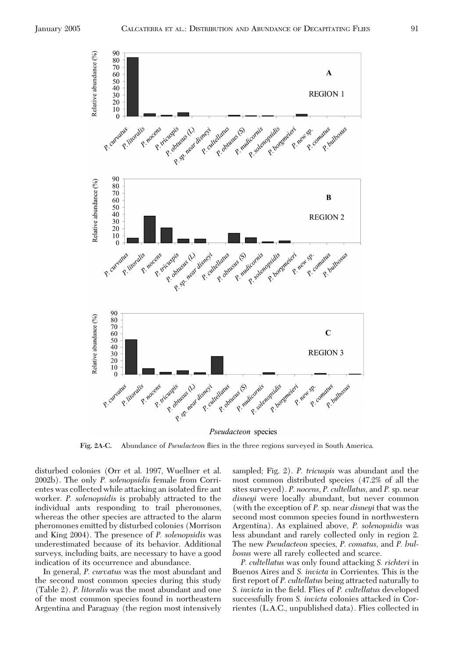

**Fig. 2A-C.** Abundance of *Pseudacteon* ßies in the three regions surveyed in South America.

disturbed colonies (Orr et al. 1997, Wuellner et al. 2002b). The only *P. solenopsidis* female from Corrientes was collected while attacking an isolated fire ant worker. *P. solenopsidis* is probably attracted to the individual ants responding to trail pheromones, whereas the other species are attracted to the alarm pheromones emitted by disturbed colonies (Morrison and King 2004). The presence of *P. solenopsidis* was underestimated because of its behavior. Additional surveys, including baits, are necessary to have a good indication of its occurrence and abundance.

In general, *P. curvatus* was the most abundant and the second most common species during this study (Table 2). *P. litoralis* was the most abundant and one of the most common species found in northeastern Argentina and Paraguay (the region most intensively sampled; Fig. 2). *P. tricuspis* was abundant and the most common distributed species (47.2% of all the sites surveyed). *P. nocens, P. cultellatus,* and *P.* sp. near *disneyi* were locally abundant, but never common (with the exception of *P.* sp. near *disneyi* that was the second most common species found in northwestern Argentina). As explained above, *P. solenopsidis* was less abundant and rarely collected only in region 2. The new *Pseudacteon* species, *P. comatus,* and *P. bulbosus* were all rarely collected and scarce.

*P. cultellatus* was only found attacking *S. richteri* in Buenos Aires and *S. invicta* in Corrientes. This is the first report of *P. cultellatus* being attracted naturally to *S. invicta* in the field. Flies of *P. cultellatus* developed successfully from *S. invicta* colonies attacked in Corrientes (L.A.C., unpublished data). Flies collected in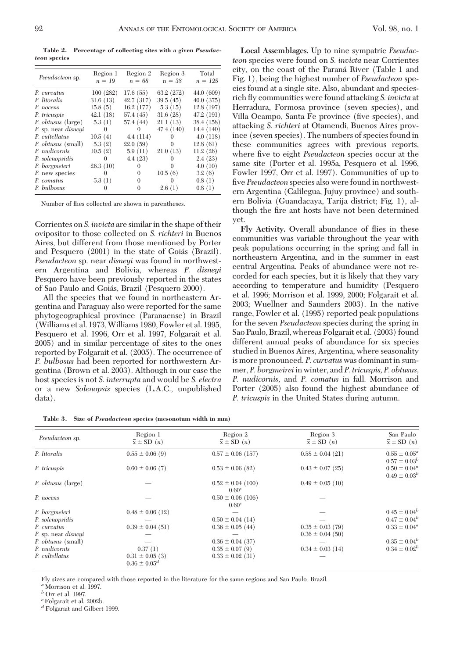**Table 2. Percentage of collecting sites with a given** *Pseudacteon* **species**

| <i>Pseudacteon sp.</i>     | Region 1<br>$n = 19$ | Region 2<br>$n = 68$ | Region 3<br>$n = 38$ | Total<br>$n = 125$ |
|----------------------------|----------------------|----------------------|----------------------|--------------------|
| P. curvatus                | 100 (282)            | 17.6(55)             | 63.2 (272)           | 44.0(609)          |
| P. litoralis               | 31.6(13)             | 42.7 (317)           | 39.5(45)             | 40.0 (375)         |
| P. nocens                  | 15.8(5)              | 16.2 (177)           | 5.3(15)              | 12.8 (197)         |
| P. tricuspis               | 42.1(18)             | 57.4 (45)            | 31.6(28)             | 47.2 (191)         |
| P. obtusus (large)         | 5.3(1)               | 57.4 (44)            | 21.1(13)             | 38.4 (158)         |
| P. sp. near <i>disneyi</i> | $\Omega$             | $^{\circ}$           | 47.4 (140)           | 14.4 (140)         |
| P. cultellatus             | 10.5(4)              | 4.4(114)             |                      | 4.0(118)           |
| P. obtusus (small)         | 5.3(2)               | 22.0(59)             | $^{\circ}$           | 12.8(61)           |
| P. <i>nudicornis</i>       | 10.5(2)              | 5.9(11)              | 21.0(13)             | 11.2(26)           |
| P. solenopsidis            | 0                    | 4.4(23)              | $^{(1)}$             | 2.4(23)            |
| P. borgmeieri              | 26.3(10)             |                      | $\Omega$             | 4.0(10)            |
| P. new species             | $\Omega$             | 0                    | 10.5(6)              | 3.2(6)             |
| P. comatus                 | 5.3(1)               | 0                    | $\Omega$             | 0.8(1)             |
| P. bulbosus                |                      | 0                    | 2.6(1)               | 0.8(1)             |
|                            |                      |                      |                      |                    |

Number of ßies collected are shown in parentheses.

Corrientes on *S. invicta* are similar in the shape of their ovipositor to those collected on *S. richteri* in Buenos Aires, but different from those mentioned by Porter and Pesquero (2001) in the state of Goiás (Brazil). *Pseudacteon* sp. near *disneyi* was found in northwestern Argentina and Bolivia, whereas *P. disneyi* Pesquero have been previously reported in the states of Sao Paulo and Goiás, Brazil (Pesquero 2000).

All the species that we found in northeastern Argentina and Paraguay also were reported for the same phytogeographical province (Paranaense) in Brazil (Williams et al. 1973,Williams 1980, Fowler et al. 1995, Pesquero et al. 1996, Orr et al. 1997, Folgarait et al. 2005) and in similar percentage of sites to the ones reported by Folgarait et al. (2005). The occurrence of *P. bulbosus* had been reported for northwestern Argentina (Brown et al. 2003). Although in our case the host species is not *S. interrupta* and would be *S. electra* or a new *Solenopsis* species (L.A.C., unpublished data).

**Local Assemblages.** Up to nine sympatric *Pseudacteon* species were found on *S. invicta* near Corrientes city, on the coast of the Paraná River (Table 1 and Fig. 1), being the highest number of *Pseudacteon* species found at a single site. Also, abundant and speciesrich ßy communities were found attacking *S. invicta* at Herradura, Formosa province (seven species), and Villa Ocampo, Santa Fe province (five species), and attacking *S. richteri* at Otamendi, Buenos Aires province (seven species). The numbers of species found in these communities agrees with previous reports, where five to eight *Pseudacteon* species occur at the same site (Porter et al. 1995a, Pesquero et al. 1996, Fowler 1997, Orr et al. 1997). Communities of up to five *Pseudacteon* species also were found in northwestern Argentina (Calilegua, Jujuy province) and southern Bolivia (Guandacaya, Tarija district; Fig. 1), although the fire ant hosts have not been determined yet.

**Fly Activity.** Overall abundance of ßies in these communities was variable throughout the year with peak populations occurring in the spring and fall in northeastern Argentina, and in the summer in east central Argentina. Peaks of abundance were not recorded for each species, but it is likely that they vary according to temperature and humidity (Pesquero et al. 1996; Morrison et al. 1999, 2000; Folgarait et al. 2003; Wuellner and Saunders 2003). In the native range, Fowler et al. (1995) reported peak populations for the seven *Pseudacteon* species during the spring in Sao Paulo, Brazil, whereas Folgarait et al. (2003) found different annual peaks of abundance for six species studied in Buenos Aires, Argentina, where seasonality is more pronounced. *P. curvatus* was dominant in summer, *P. borgmeirei*in winter, and *P. tricuspis, P. obtusus, P. nudicornis,* and *P. comatus* in fall. Morrison and Porter (2005) also found the highest abundance of *P. tricuspis* in the United States during autumn.

**Table 3. Size of** *Pseudacteon* **species (mesonotum width in mm)**

| Pseudacteon sp.            | Region 1<br>$\overline{x} \pm SD(n)$     | Region 2<br>$\bar{x} \pm SD(n)$            | Region 3<br>$\bar{x} \pm SD(n)$ | San Paulo<br>$\bar{x} \pm SD(n)$       |
|----------------------------|------------------------------------------|--------------------------------------------|---------------------------------|----------------------------------------|
| P. litoralis               | $0.55 \pm 0.06$ (9)                      | $0.57 \pm 0.06$ (157)                      | $0.58 \pm 0.04$ (21)            | $0.55 \pm 0.05^a$<br>$0.57 \pm 0.03^b$ |
| P. tricuspis               | $0.60 \pm 0.06$ (7)                      | $0.53 \pm 0.06$ (82)                       | $0.43 \pm 0.07$ (25)            | $0.50 \pm 0.04^a$<br>$0.49 \pm 0.03^b$ |
| P. obtusus (large)         |                                          | $0.52 \pm 0.04$ (100)<br>0.60 <sup>c</sup> | $0.49 \pm 0.05$ (10)            |                                        |
| P. nocens                  |                                          | $0.50 \pm 0.06$ (106)<br>0.60 <sup>c</sup> |                                 |                                        |
| P. borgmeieri              | $0.48 \pm 0.06$ (12)                     |                                            |                                 | $0.45 \pm 0.04^b$                      |
| P. solenopsidis            |                                          | $0.50 \pm 0.04$ (14)                       |                                 | $0.47 \pm 0.04^b$                      |
| P. curvatus                | $0.39 \pm 0.04$ (51)                     | $0.36 \pm 0.05$ (44)                       | $0.35 \pm 0.03(79)$             | $0.33 \pm 0.04^a$                      |
| P. sp. near <i>disneyi</i> |                                          |                                            | $0.36 \pm 0.04$ (50)            |                                        |
| P. obtusus (small)         |                                          | $0.36 \pm 0.04$ (37)                       |                                 | $0.35 \pm 0.04^b$                      |
| P. nudicornis              | 0.37(1)                                  | $0.35 \pm 0.07(9)$                         | $0.34 \pm 0.03$ (14)            | $0.34 \pm 0.02^b$                      |
| P. cultellatus             | $0.31 \pm 0.05$ (3)<br>$0.36 \pm 0.05^d$ | $0.33 \pm 0.02$ (31)                       |                                 |                                        |

Fly sizes are compared with those reported in the literature for the same regions and San Paulo, Brazil.

*<sup>a</sup>* Morrison et al. 1997.

 $^b$  Orr et al. 1997.

*<sup>c</sup>* Folgarait et al. 2002b.

*<sup>d</sup>* Folgarait and Gilbert 1999.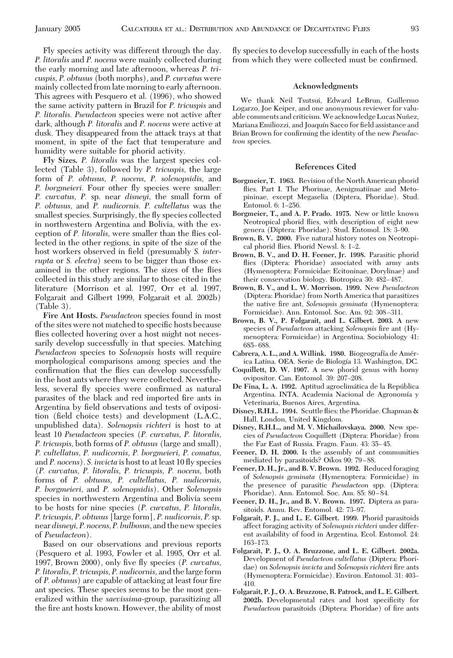Fly species activity was different through the day. *P. litoralis* and *P. nocens* were mainly collected during the early morning and late afternoon, whereas *P. tricuspis, P. obtusus* (both morphs), and *P. curvatus* were mainly collected from late morning to early afternoon. This agrees with Pesquero et al. (1996), who showed the same activity pattern in Brazil for *P. tricuspis* and *P. litoralis. Pseudacteon* species were not active after dark, although *P. litoralis* and *P. nocens* were active at dusk. They disappeared from the attack trays at that moment, in spite of the fact that temperature and humidity were suitable for phorid activity.

**Fly Sizes.** *P. litoralis* was the largest species collected (Table 3), followed by *P. tricuspis,* the large form of *P. obtusus, P. nocens, P. solenopsidis,* and *P. borgmeieri.* Four other ßy species were smaller: *P. curvatus, P.* sp. near *disneyi,* the small form of *P. obtusus,* and *P. nudicornis. P. cultellatus* was the smallest species. Surprisingly, the ßy species collected in northwestern Argentina and Bolivia, with the exception of *P. litoralis,* were smaller than the ßies collected in the other regions, in spite of the size of the host workers observed in field (presumably *S. interrupta* or *S. electra*) seem to be bigger than those examined in the other regions. The sizes of the flies collected in this study are similar to those cited in the literature (Morrison et al. 1997, Orr et al. 1997, Folgarait and Gilbert 1999, Folgarait et al. 2002b) (Table 3).

**Fire Ant Hosts.** *Pseudacteon* species found in most of the sites were not matched to specific hosts because flies collected hovering over a host might not necessarily develop successfully in that species. Matching *Pseudacteon* species to *Solenopsis* hosts will require morphological comparisons among species and the confirmation that the flies can develop successfully in the host ants where they were collected. Nevertheless, several fly species were confirmed as natural parasites of the black and red imported fire ants in Argentina by field observations and tests of oviposition (field choice tests) and development (L.A.C., unpublished data). *Solenopsis richteri* is host to at least 10 *Pseudacteon* species (*P. curvatus, P. litoralis, P. tricuspis,* both forms of *P. obtusus* (large and small), *P. cultellatus, P. nudicornis, P. borgmeieri, P. comatus,* and *P. nocens*). *S. invicta* is host to at least 10 ßy species (*P. curvatus, P. litoralis, P. tricuspis, P. nocens,* both forms of *P. obtusus, P. cultellatus, P. nudicornis, P. borgmeieri,* and *P. solenopsidis*). Other *Solenopsis* species in northwestern Argentina and Bolivia seem to be hosts for nine species (*P. curvatus, P. litoralis, P. tricuspis, P. obtusus* [large form], *P. nudicornis, P.*sp. near*disneyi, P. nocens, P. bulbosus,* and the new species of *Pseudacteon*).

Based on our observations and previous reports (Pesquero et al. 1993, Fowler et al. 1995, Orr et al. 1997, Brown 2000), only five fly species (*P. curvatus*, *P. litoralis, P. tricuspis, P. nudicornis,* and the large form of *P. obtusus*) are capable of attacking at least four fire ant species. These species seems to be the most generalized within the *saevissima*-group, parasitizing all the fire ant hosts known. However, the ability of most ßy species to develop successfully in each of the hosts from which they were collected must be confirmed.

## **Acknowledgments**

We thank Neil Tsutsui, Edward LeBrun, Guillermo Logarzo, Joe Keiper, and one anonymous reviewer for valuable comments and criticism. We acknowledge Lucas Nuñez, Mariana Emiliozzi, and Joaquín Sacco for field assistance and Brian Brown for confirming the identity of the new *Pseudacteon* species.

### **References Cited**

- **Borgmeier, T. 1963.** Revision of the North American phorid ßies. Part I. The Phorinae, Aenigmatiinae and Metopininae, except Megaselia (Diptera, Phoridae). Stud. Entomol. 6: 1–256.
- **Borgmeier, T., and A. P. Prado. 1975.** New or little known Neotropical phorid ßies, with description of eight new genera (Diptera: Phoridae). Stud. Entomol. 18: 3-90.
- **Brown, B. V. 2000.** Five natural history notes on Neotropical phorid flies. Phorid Newsl. 8: 1-2.
- **Brown, B. V., and D. H. Feener, Jr. 1998.** Parasitic phorid flies (Diptera: Phoridae) associated with army ants (Hymenoptera: Formicidae: Ecitoninae, Dorylinae) and their conservation biology. Biotropica 30: 482–487.
- **Brown, B. V., and L. W. Morrison. 1999.** New *Pseudacteon* (Diptera: Phoridae) from North America that parasitizes the native fire ant, *Solenopsis geminata* (Hymenoptera: Formicidae). Ann. Entomol. Soc. Am. 92: 308-311.
- **Brown, B. V., P. Folgarait, and L. Gilbert. 2003.** A new species of *Pseudacteon* attacking *Solenopsis* fire ant (Hymenoptera: Formicidae) in Argentina. Sociobiology 41: 685–688.
- **Cabrera, A. L., and A. Willink. 1980. Biogeografía de Amér**ica Latina. OEA. Serie de Biología 13. Washington, DC.
- **Coquillett, D. W. 1907.** A new phorid genus with horny ovipositor. Can. Entomol. 39: 207-208.
- De Fina, L. A. 1992. Aptitud agroclimática de la República Argentina. INTA, Academia Nacional de Agronomía y Veterinaria, Buenos Aires, Argentina.
- **Disney, R.H.L. 1994.** Scuttle ßies: the Phoridae. Chapman & Hall, London, United Kingdom.
- **Disney, R.H.L., and M. V. Michailovskaya. 2000.** New species of *Pseudacteon* Coquillett (Diptera: Phoridae) from the Far East of Russia. Fragm. Faun. 43: 35-45.
- **Feener, D. H. 2000.** Is the assembly of ant communities mediated by parasitoids? Oikos 90: 79-88.
- **Feener, D. H., Jr., and B. V. Brown. 1992.** Reduced foraging of *Solenopsis geminata* (Hymenoptera: Formicidae) in the presence of parasitic *Pseudacteon* spp. (Diptera: Phoridae). Ann. Entomol. Soc. Am. 85: 80-84.
- **Feener, D. H., Jr., and B. V. Brown. 1997.** Diptera as parasitoids. Annu. Rev. Entomol. 42: 73–97.
- **Folgarait, P. J., and L. E. Gilbert. 1999.** Phorid parasitoids affect foraging activity of *Solenopsis richteri* under different availability of food in Argentina. Ecol. Entomol. 24: 163–173.
- **Folgarait, P. J., O. A. Bruzzone, and L. E. Gilbert. 2002a.** Development of *Pseudacteon cultellatus* (Diptera: Phoridae) on *Solenopsis invicta* and *Solenopsis richteri* fire ants (Hymenoptera: Formicidae). Environ. Entomol. 31: 403-410.
- **Folgarait, P. J., O. A. Bruzzone, R. Patrock, and L. E. Gilbert.** 2002b. Developmental rates and host specificity for *Pseudacteon* parasitoids (Diptera: Phoridae) of fire ants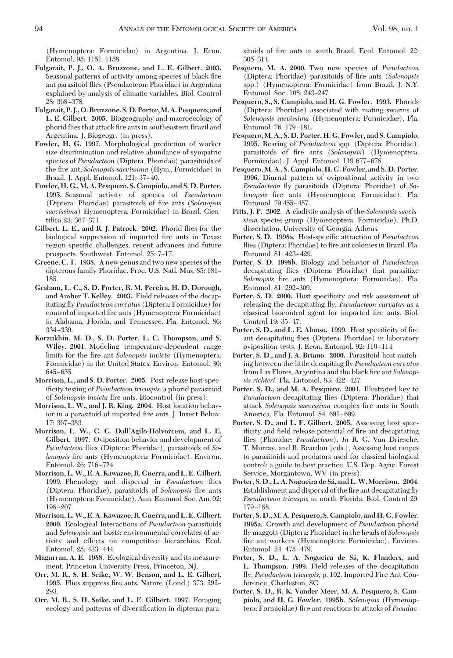(Hymenoptera: Formicidae) in Argentina. J. Econ. Entomol. 95: 1151-1158.

- **Folgarait, P. J., O. A. Bruzzone, and L. E. Gilbert. 2003.** Seasonal patterns of activity among species of black fire ant parasitoid ßies (Pseudacteon: Phoridae) in Argentina explained by analysis of climatic variables. Biol. Control 28: 368-378.
- **Folgarait, P. J., O. Bruzzone, S. D. Porter,M. A. Pesquero, and L. E. Gilbert. 2005.** Biogeography and macroecology of phorid flies that attack fire ants in southeastern Brazil and Argentina. J. Biogeogr. (in press).
- **Fowler, H. G. 1997.** Morphological prediction of worker size discrimination and relative abundance of sympatric species of *Pseudacteon* (Diptera, Phoridae) parasitoids of the fire ant, *Solenopsis saevissima* (Hym., Formicidae) in Brazil. J. Appl. Entomol. 121: 37-40.
- **Fowler, H. G., M. A. Pesquero, S. Campiolo, and S. D. Porter. 1995.** Seasonal activity of species of *Pseudacteon* (Diptera: Phoridae) parasitoids of fire ants (*Solenopsis*) *saevissima*) Hymenoptera: Formicidae) in Brazil. Cientifica 23: 367-371.
- **Gilbert, L. E., and R. J. Patrock. 2002.** Phorid ßies for the biological suppression of imported fire ants in Texas: region specific challenges, recent advances and future prospects. Southwest. Entomol. 25: 7-17.
- **Greene, C. T. 1938.** A new genus and two new species of the dipterous family Phoridae. Proc. U.S. Natl. Mus. 85: 181-185.
- **Graham, L. C., S. D. Porter, R. M. Pereira, H. D. Dorough, and Amber T. Kelley. 2003.** Field releases of the decapitating ßy *Pseudacteon curvatus* (Diptera: Formicidae) for control of imported fire ants (Hymenoptera: Formicidae) in Alabama, Florida, and Tennessee. Fla. Entomol. 86: 334 – 339.
- **Korzukhin, M. D., S. D. Porter, L. C. Thompson, and S. Wiley. 2001.** Modeling temperature-dependent range limits for the fire ant *Solenopsis invicta* (Hymenoptera: Formicidae) in the United States. Environ. Entomol. 30: 645–655.
- **Morrison, L., and S. D. Porter. 2005.** Post-release host-specificity testing of *Pseudacteon tricuspis*, a phorid parasitoid of *Solenopsis invicta* fire ants. Biocontrol (in press).
- **Morrison, L. W., and J. R. King. 2004.** Host location behavior in a parasitoid of imported fire ants. J. Insect Behav. 17: 367-383.
- **Morrison, L. W., C. G. Dall'Agilo-Holvorcem, and L. E. Gilbert. 1997.** Oviposition behavior and development of *Pseudacteon* ßies (Diptera: Phoridae), parasitoids of *Solenopsis* fire ants (Hymenoptera: Formicidae). Environ. Entomol. 26: 716-724.
- **Morrison, L.W., E. A. Kawazoe, R. Guerra, and L. E. Gilbert. 1999.** Phenology and dispersal in *Pseudacteon* ßies (Diptera: Phoridae), parasitoids of *Solenopsis* fire ants (Hymenoptera: Formicidae). Ann. Entomol. Soc. Am. 92: 198-207.
- **Morrison, L.W., E. A. Kawazoe, R. Guerra, and L. E. Gilbert. 2000.** Ecological Interactions of *Pseudacteon* parasitoids and *Solenopsis* ant hosts: environmental correlates of activity and effects on competitive hierarchies. Ecol. Entomol. 25: 433-444.
- **Magurran, A. E. 1988.** Ecological diversity and its measurement. Princeton University Press, Princeton, NJ.
- **Orr, M. R., S. H. Seike, W. W. Benson, and L. E. Gilbert.** 1995. Flies suppress fire ants. Nature (Lond.) 373: 292-293.
- **Orr, M. R., S. H. Seike, and L. E. Gilbert. 1997.** Foraging ecology and patterns of diversification in dipteran para-

sitoids of fire ants in south Brazil. Ecol. Entomol. 22: 305–314

- **Pesquero, M. A. 2000.** Two new species of *Pseudacteon* (Diptera: Phoridae) parasitoids of Þre ants (*Solenopsis* spp.) (Hymenoptera: Formicidae) from Brazil. J. N.Y. Entomol. Soc. 108: 243-247.
- **Pesquero, S., S. Campiolo, and H. G. Fowler. 1993.** Phorids (Diptera: Phoridae) associated with mating swarms of *Solenopsis saevissima* (Hymenoptera: Formicidae). Fla. Entomol. 76: 179-181.
- **Pesquero, M. A., S. D. Porter, H. G. Fowler, and S. Campiolo. 1995.** Rearing of *Pseudacteon* spp. (Diptera: Phoridae), parasitoids of fire ants (*Solenopsis*) (Hymenoptera: Formicidae). J. Appl. Entomol. 119 677-678.
- **Pesquero, M. A., S. Campiolo, H. G. Fowler, and S. D. Porter. 1996.** Diurnal pattern of ovipositional activity in two *Pseudacteon* ßy parasitoids (Diptera: Phoridae) of *Solenopsis* fire ants (Hymenoptera: Formicidae). Fla. Entomol. 79:455-457.
- **Pitts, J. P. 2002.** A cladistic analysis of the *Solenopsis saevissima* species-group (Hymenoptera: Formicidae). Ph.D. dissertation, University of Georgia, Athens.
- Porter, S. D. 1998a. Host-specific attraction of *Pseudacteon* flies (Diptera: Phoridae) to fire ant colonies in Brazil. Fla. Entomol. 81: 423-429.
- **Porter, S. D. 1998b.** Biology and behavior of *Pseudacteon* decapitating ßies (Diptera: Phoridae) that parasitize  $Solenopsis$  fire ants (Hymenoptera: Formicidae). Fla. Entomol. 81: 292-309.
- Porter, S. D. 2000. Host specificity and risk assessment of releasing the decapitating ßy, *Pseudacteon curvatus* as a classical biocontrol agent for imported fire ants. Biol. Control 19: 35-47.
- Porter, S. D., and L. E. Alonso. 1999. Host specificity of fire ant decapitating ßies (Diptera: Phoridae) in laboratory oviposition tests. J. Econ. Entomol. 92: 110-114.
- **Porter, S. D., and J. A. Briano. 2000.** Parasitoid-host matching between the little decapiting ßy *Pseudacteon curvatus* from Las Flores, Argentina and the black fire ant *Solenopsis richteri.* Fla. Entomol. 83: 422–427.
- **Porter, S. D., and M. A. Pesquero. 2001.** Illustrated key to *Pseudacteon* decapitating ßies (Diptera: Phoridae) that attack *Solenopsis saevissima* complex fire ants in South America. Fla. Entomol. 84: 691-699.
- **Porter, S. D., and L. E. Gilbert. 2005.** Assessing host specificity and field release potential of fire ant decapitating ßies (Phoridae: *Pseudacteon*). *In* R. G. Van Driesche, T. Murray, and R. Reardon [eds.], Assessing host ranges to parasitoids and predators used for classical biological control: a guide to best practice. U.S. Dep. Agric. Forest Service, Morgantown, WV (in press).
- **Porter, S. D., L. A. Nogueira de Sa´, and L.W. Morrison. 2004.** Establishment and dispersal of the fire ant decapitating fly *Pseudacteon tricuspis* in north Florida. Biol. Control 29: 179-188.
- **Porter, S. D., M. A. Pesquero, S. Campiolo, and H. G. Fowler. 1995a.** Growth and development of *Pseudacteon* phorid ßy maggots (Diptera: Phoridae) in the heads of *Solenopsis* fire ant workers (Hymenoptera: Formicidae). Environ. Entomol. 24: 475-479.
- **Porter, S. D., L. A. Nogueira de Sa´, K. Flanders, and L. Thompson. 1999.** Field releases of the decapitation ßy, *Pseudacteon tricuspis,* p. 102. Imported Fire Ant Conference, Charleston, SC.
- **Porter, S. D., R. K. Vander Meer, M. A. Pesquero, S. Campiolo, and H. G. Fowler. 1995b.** *Solenopsis* (Hymenoptera: Formicidae) fire ant reactions to attacks of *Pseudac-*